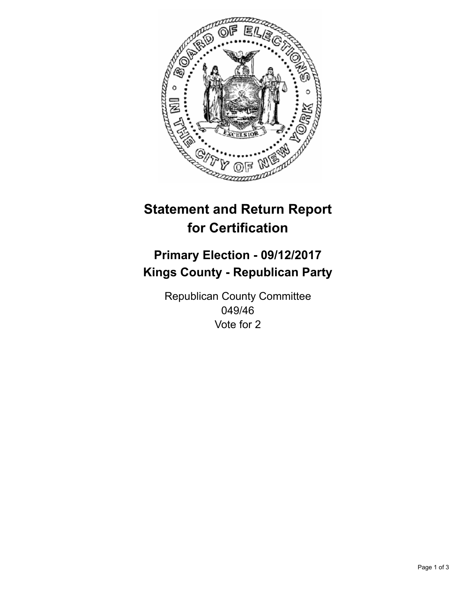

## **Statement and Return Report for Certification**

## **Primary Election - 09/12/2017 Kings County - Republican Party**

Republican County Committee 049/46 Vote for 2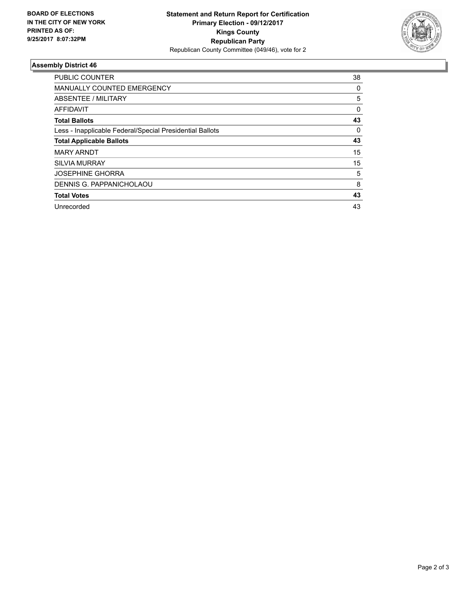

## **Assembly District 46**

| PUBLIC COUNTER                                           | 38 |
|----------------------------------------------------------|----|
| <b>MANUALLY COUNTED EMERGENCY</b>                        | 0  |
| ABSENTEE / MILITARY                                      | 5  |
| <b>AFFIDAVIT</b>                                         | 0  |
| <b>Total Ballots</b>                                     | 43 |
| Less - Inapplicable Federal/Special Presidential Ballots | 0  |
| <b>Total Applicable Ballots</b>                          | 43 |
| <b>MARY ARNDT</b>                                        | 15 |
| <b>SILVIA MURRAY</b>                                     | 15 |
| <b>JOSEPHINE GHORRA</b>                                  | 5  |
| DENNIS G. PAPPANICHOLAOU                                 | 8  |
| <b>Total Votes</b>                                       | 43 |
| Unrecorded                                               | 43 |